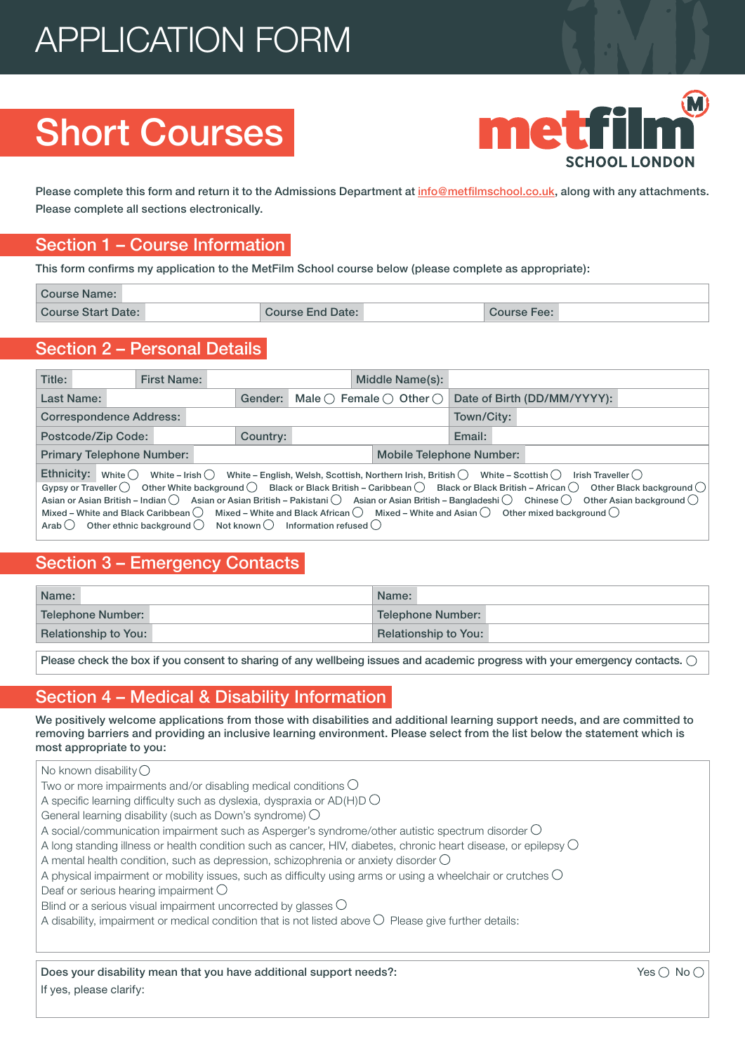# Short Courses



Please complete this form and return it to the Admissions Department at *info@metfilmschool.co.uk*, along with any attachments. Please complete all sections electronically.

## Section 1 – Course Information

This form confirms my application to the MetFilm School course below (please complete as appropriate):

| Course Name:       |                  |             |
|--------------------|------------------|-------------|
| Course Start Date: | Course End Date: | Course Fee: |

## Section 2 – Personal Details

| Title:                                                                                                                                                                                                                                                                                                                                                                                                                                                                                                                                                                                                                                                                                                                                                                                                                                          | <b>First Name:</b> |          | Middle Name(s):                                    |                             |
|-------------------------------------------------------------------------------------------------------------------------------------------------------------------------------------------------------------------------------------------------------------------------------------------------------------------------------------------------------------------------------------------------------------------------------------------------------------------------------------------------------------------------------------------------------------------------------------------------------------------------------------------------------------------------------------------------------------------------------------------------------------------------------------------------------------------------------------------------|--------------------|----------|----------------------------------------------------|-----------------------------|
| Last Name:                                                                                                                                                                                                                                                                                                                                                                                                                                                                                                                                                                                                                                                                                                                                                                                                                                      |                    | Gender:  | Male $\bigcirc$ Female $\bigcirc$ Other $\bigcirc$ | Date of Birth (DD/MM/YYYY): |
| <b>Correspondence Address:</b>                                                                                                                                                                                                                                                                                                                                                                                                                                                                                                                                                                                                                                                                                                                                                                                                                  |                    |          |                                                    | Town/City:                  |
| Postcode/Zip Code:                                                                                                                                                                                                                                                                                                                                                                                                                                                                                                                                                                                                                                                                                                                                                                                                                              |                    | Country: |                                                    | Email:                      |
| <b>Primary Telephone Number:</b><br><b>Mobile Telephone Number:</b>                                                                                                                                                                                                                                                                                                                                                                                                                                                                                                                                                                                                                                                                                                                                                                             |                    |          |                                                    |                             |
| <b>Ethnicity:</b> White $\bigcirc$ White – Irish $\bigcirc$ White – English, Welsh, Scottish, Northern Irish, British $\bigcirc$ White – Scottish $\bigcirc$<br>Irish Traveller $( )$<br>Gypsy or Traveller $\bigcirc$ Other White background $\bigcirc$ Black or Black British – Caribbean $\bigcirc$ Black or Black British – African $\bigcirc$ Other Black background $\bigcirc$<br>Asian or Asian British – Indian $\bigcirc$ Asian or Asian British – Pakistani $\bigcirc$ Asian or Asian British – Bangladeshi $\bigcirc$ Chinese $\bigcirc$ Other Asian background $\bigcirc$<br>Mixed – White and Black Caribbean $\bigcirc$ Mixed – White and Black African $\bigcirc$ Mixed – White and Asian $\bigcirc$ Other mixed background $\bigcirc$<br>Arab () Other ethnic background () Not known $\bigcirc$ Information refused $\bigcirc$ |                    |          |                                                    |                             |

## Section 3 – Emergency Contacts

| Name:                | Name:                |
|----------------------|----------------------|
| Telephone Number:    | Telephone Number:    |
| Relationship to You: | Relationship to You: |

Please check the box if you consent to sharing of any wellbeing issues and academic progress with your emergency contacts.  $\bigcirc$ 

## Section 4 – Medical & Disability Information

We positively welcome applications from those with disabilities and additional learning support needs, and are committed to removing barriers and providing an inclusive learning environment. Please select from the list below the statement which is most appropriate to you:

| No known disability $\bigcirc$                                                                                       |
|----------------------------------------------------------------------------------------------------------------------|
| Two or more impairments and/or disabling medical conditions $\bigcirc$                                               |
| A specific learning difficulty such as dyslexia, dyspraxia or $AD(H)D$                                               |
| General learning disability (such as Down's syndrome) $\bigcirc$                                                     |
| A social/communication impairment such as Asperger's syndrome/other autistic spectrum disorder $\circlearrowright$   |
| A long standing illness or health condition such as cancer, HIV, diabetes, chronic heart disease, or epilepsy        |
| A mental health condition, such as depression, schizophrenia or anxiety disorder $\bigcirc$                          |
| A physical impairment or mobility issues, such as difficulty using arms or using a wheelchair or crutches $\bigcirc$ |
| Deaf or serious hearing impairment $\bigcirc$                                                                        |
| Blind or a serious visual impairment uncorrected by glasses $\bigcirc$                                               |
| A disability, impairment or medical condition that is not listed above $\bigcirc$ Please give further details:       |

Does your disability mean that you have additional support needs?:  $\blacksquare$  Yes  $\bigcirc$  No  $\bigcirc$ If yes, please clarify: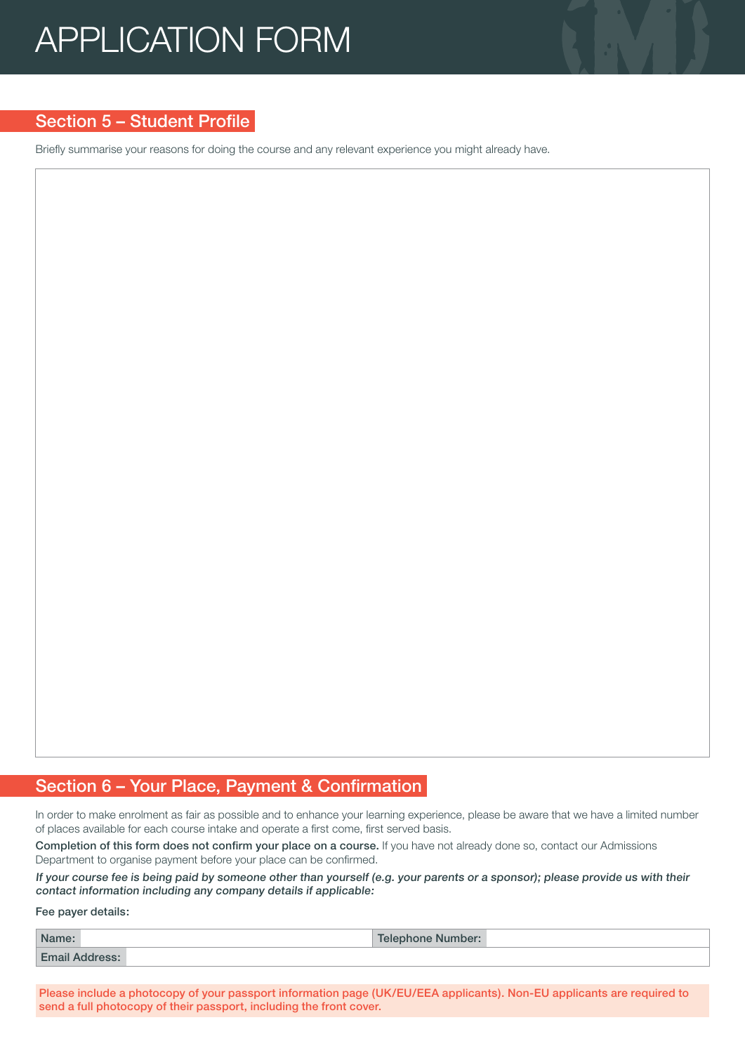## Section 5 – Student Profile

Briefly summarise your reasons for doing the course and any relevant experience you might already have.

## Section 6 – Your Place, Payment & Confirmation

In order to make enrolment as fair as possible and to enhance your learning experience, please be aware that we have a limited number of places available for each course intake and operate a first come, first served basis[.](https://www.metfilmschool.ac.uk/admissions/funding-course/ )

Completion of this form does not confirm your place on a course. If you have not already done so, contact our Admissions Department to organise payment before your place can be confirmed.

If your course fee is being paid by someone other than yourself (e.g. your parents or a sponsor); please provide us with their contact information including any company details if applicable:

Fee payer details:

| Name:                 | Telephone Number: |
|-----------------------|-------------------|
| <b>Email Address:</b> |                   |

Please include a photocopy of your passport information page (UK/EU/EEA applicants). Non-EU applicants are required to send a full photocopy of their passport, including the front cover.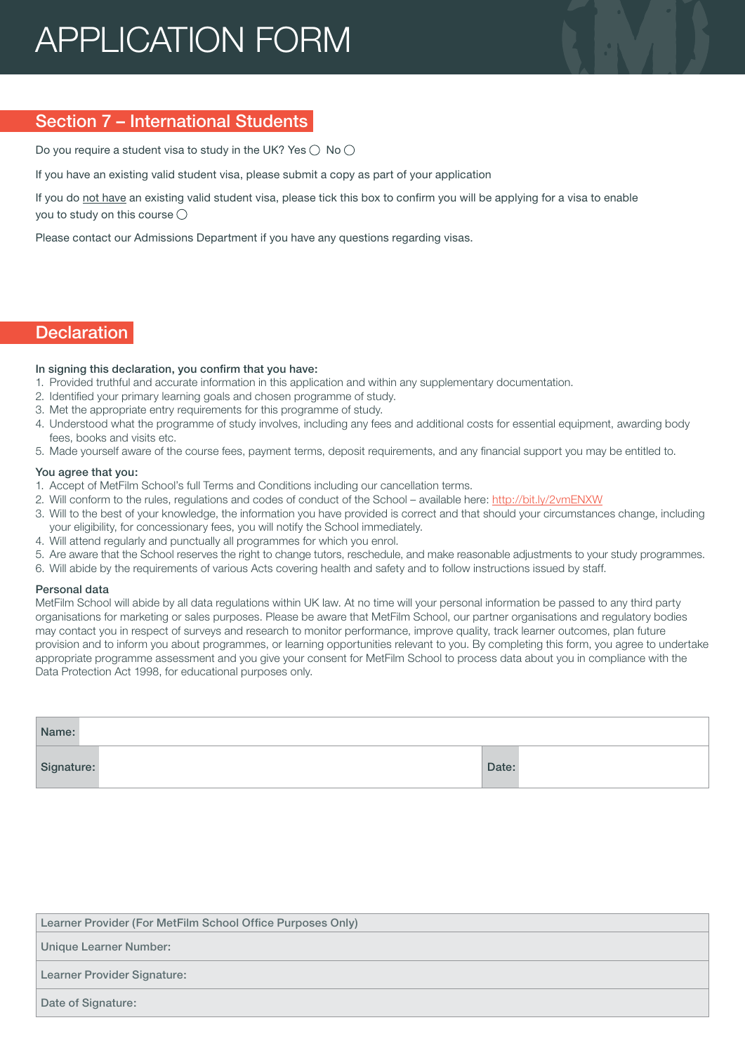## Section 7 – International Students

Do you require a student visa to study in the UK? Yes  $\bigcirc$  No  $\bigcirc$ 

If you have an existing valid student visa, please submit a copy as part of your application

If you do not have an existing valid student visa, please tick this box to confirm you will be applying for a visa to enable you to study on this course  $\bigcirc$ 

Please contact our Admissions Department if you have any questions regarding visas.

## **Declaration**

### In signing this declaration, you confirm that you have:

- 1. Provided truthful and accurate information in this application and within any supplementary documentation.
- 2. Identified your primary learning goals and chosen programme of study.
- 3. Met the appropriate entry requirements for this programme of study.
- 4. Understood what the programme of study involves, including any fees and additional costs for essential equipment, awarding body fees, books and visits etc.
- 5. Made yourself aware of the course fees, payment terms, deposit requirements, and any financial support you may be entitled to.

### You agree that you:

- 1. Accept of MetFilm School's full Terms and Conditions including our cancellation terms.
- 2. Will conform to the rules, regulations and codes of conduct of the School available here: http://bit.ly/2vmENXW
- 3. Will to the best of your knowledge, the information you have provided is correct and that should your circumstances change, including your eligibility, for concessionary fees, you will notify the School immediately.
- 4. Will attend regularly and punctually all programmes for which you enrol.
- 5. Are aware that the School reserves the right to change tutors, reschedule, and make reasonable adjustments to your study programmes.
- 6. Will abide by the requirements of various Acts covering health and safety and to follow instructions issued by staff.

### Personal data

MetFilm School will abide by all data regulations within UK law. At no time will your personal information be passed to any third party organisations for marketing or sales purposes. Please be aware that MetFilm School, our partner organisations and regulatory bodies may contact you in respect of surveys and research to monitor performance, improve quality, track learner outcomes, plan future provision and to inform you about programmes, or learning opportunities relevant to you. By completing this form, you agree to undertake appropriate programme assessment and you give your consent for MetFilm School to process data about you in compliance with the Data Protection Act 1998, for educational purposes only.

| Name:      |       |
|------------|-------|
| Signature: | Date: |

| Learner Provider (For MetFilm School Office Purposes Only) |  |
|------------------------------------------------------------|--|
| Unique Learner Number:                                     |  |
| Learner Provider Signature:                                |  |
| Date of Signature:                                         |  |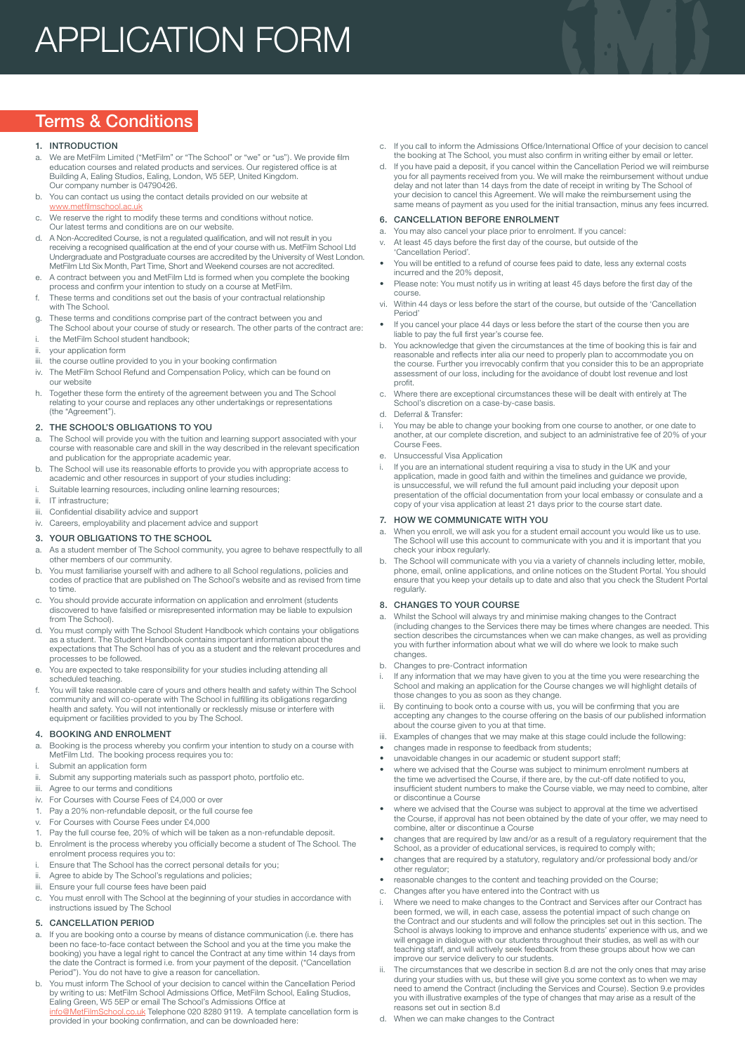# Terms & Conditions

### 1. INTRODUCTION

- a. We are MetFilm Limited ("MetFilm" or "The School" or "we" or "us"). We provide film education courses and related products and services. Our registered office is at Building A, Ealing Studios, Ealing, London, W5 5EP, United Kingdom. Our company number is 04790426.
- b. You can contact us using the contact details provided on our website at [www.metfilmschool.ac.uk](http://www.metfilmschool.ac.uk)
- c. We reserve the right to modify these terms and conditions without notice. Our latest terms and conditions are on our website.
- d. A Non-Accredited Course, is not a regulated qualification, and will not result in you receiving a recognised qualification at the end of your course with us. MetFilm School Ltd Undergraduate and Postgraduate courses are accredited by the University of West London. MetFilm Ltd Six Month, Part Time, Short and Weekend courses are not accredited.
- e. A contract between you and MetFilm Ltd is formed when you complete the booking process and confirm your intention to study on a course at MetFilm.
- f. These terms and conditions set out the basis of your contractual relationship with The School.
- g. These terms and conditions comprise part of the contract between you and
- The School about your course of study or research. The other parts of the contract are: i. the MetFilm School student handbook;
- your application form
- iii. the course outline provided to you in your booking confirmation
- iv. The MetFilm School Refund and Compensation Policy, which can be found on our website
- h. Together these form the entirety of the agreement between you and The School relating to your course and replaces any other undertakings or representations (the "Agreement").

#### 2. THE SCHOOL'S OBLIGATIONS TO YOU

- a. The School will provide you with the tuition and learning support associated with your course with reasonable care and skill in the way described in the relevant specification and publication for the appropriate academic year.
- b. The School will use its reasonable efforts to provide you with appropriate access to academic and other resources in support of your studies including:
- i. Suitable learning resources, including online learning resources;
- ii. IT infrastructure;
- iii. Confidential disability advice and support
- iv. Careers, employability and placement advice and support

#### 3. YOUR OBLIGATIONS TO THE SCHOOL

- a. As a student member of The School community, you agree to behave respectfully to all other members of our community.
- b. You must familiarise yourself with and adhere to all School regulations, policies and codes of practice that are published on The School's website and as revised from time to time.
- c. You should provide accurate information on application and enrolment (students discovered to have falsified or misrepresented information may be liable to expulsion from The School).
- d. You must comply with The School Student Handbook which contains your obligations as a student. The Student Handbook contains important information about the expectations that The School has of you as a student and the relevant procedures and processes to be followed.
- e. You are expected to take responsibility for your studies including attending all scheduled teaching.
- f. You will take reasonable care of yours and others health and safety within The School community and will co-operate with The School in fulfilling its obligations regarding health and safety. You will not intentionally or recklessly misuse or interfere with equipment or facilities provided to you by The School.

#### 4. BOOKING AND ENROLMENT

- a. Booking is the process whereby you confirm your intention to study on a course with MetFilm Ltd. The booking process requires you to:
- i. Submit an application form
- ii. Submit any supporting materials such as passport photo, portfolio etc.
- iii. Agree to our terms and conditions
- iv. For Courses with Course Fees of £4,000 or over
- 1. Pay a 20% non-refundable deposit, or the full course fee
- v. For Courses with Course Fees under £4,000
- 1. Pay the full course fee, 20% of which will be taken as a non-refundable deposit. b. Enrolment is the process whereby you officially become a student of The School. The
- enrolment process requires you to:
- i. Ensure that The School has the correct personal details for you;
- ii. Agree to abide by The School's regulations and policies
- iii. Ensure your full course fees have been paid
- c. You must enroll with The School at the beginning of your studies in accordance with instructions issued by The School

### 5. CANCELLATION PERIOD

- a. If you are booking onto a course by means of distance communication (i.e. there has been no face-to-face contact between the School and you at the time you make the booking) you have a legal right to cancel the Contract at any time within 14 days from the date the Contract is formed i.e. from your payment of the deposit. ("Cancellation Period"). You do not have to give a reason for cancellation.
- b. You must inform The School of your decision to cancel within the Cancellation Period by writing to us: MetFilm School Admissions Office, MetFilm School, Ealing Studios, Ealing Green, W5 5EP or email The School's Admissions Office at informs. The bearter of original the concert of remissions of the cancellation form is<br>MetFilmSchool.co.uk Telephone 020 8280 9119. A template cancellation form is provided in your booking confirmation, and can be downloaded here:
- c. If you call to inform the Admissions Office/International Office of your decision to cancel the booking at The School, you must also confirm in writing either by email or letter.
- d. If you have paid a deposit, if you cancel within the Cancellation Period we will reimburse you for all payments received from you. We will make the reimbursement without undue delay and not later than 14 days from the date of receipt in writing by The School of your decision to cancel this Agreement. We will make the reimbursement using the same means of payment as you used for the initial transaction, minus any fees incurred.

#### 6. CANCELLATION BEFORE ENROLMENT

- a. You may also cancel your place prior to enrolment. If you cancel:
- v. At least 45 days before the first day of the course, but outside of the 'Cancellation Period'.
- You will be entitled to a refund of course fees paid to date, less any external costs incurred and the 20% deposit,
- Please note: You must notify us in writing at least 45 days before the first day of the course.
- vi. Within 44 days or less before the start of the course, but outside of the 'Cancellation Period'
- If you cancel your place 44 days or less before the start of the course then you are liable to pay the full first year's course fee.
- b. You acknowledge that given the circumstances at the time of booking this is fair and reasonable and reflects inter alia our need to properly plan to accommodate you on the course. Further you irrevocably confirm that you consider this to be an appropriate assessment of our loss, including for the avoidance of doubt lost revenue and lost profit.
- c. Where there are exceptional circumstances these will be dealt with entirely at The School's discretion on a case-by-case basis.
- d. Deferral & Transfer:
- i. You may be able to change your booking from one course to another, or one date to another, at our complete discretion, and subject to an administrative fee of 20% of your Course Fees.
- e. Unsuccessful Visa Application
- i. If you are an international student requiring a visa to study in the UK and your application, made in good faith and within the timelines and guidance we provide, is unsuccessful, we will refund the full amount paid including your deposit upon presentation of the official documentation from your local embassy or consulate and a copy of your visa application at least 21 days prior to the course start date.

#### 7. HOW WE COMMUNICATE WITH YOU

- a. When you enroll, we will ask you for a student email account you would like us to use. The School will use this account to communicate with you and it is important that you check your inbox regularly.
- b. The School will communicate with you via a variety of channels including letter, mobile, phone, email, online applications, and online notices on the Student Portal. You should ensure that you keep your details up to date and also that you check the Student Portal regularly.

#### 8. CHANGES TO YOUR COURSE

- Whilst the School will always try and minimise making changes to the Contract (including changes to the Services there may be times where changes are needed. This section describes the circumstances when we can make changes, as well as providing you with further information about what we will do where we look to make such changes.
- b. Changes to pre-Contract information
- If any information that we may have given to you at the time you were researching the School and making an application for the Course changes we will highlight details of those changes to you as soon as they change.
- ii. By continuing to book onto a course with us, you will be confirming that you are accepting any changes to the course offering on the basis of our published information about the course given to you at that time.
- iii. Examples of changes that we may make at this stage could include the following:
- changes made in response to feedback from students;
- unavoidable changes in our academic or student support staff;
- where we advised that the Course was subject to minimum enrolment numbers at the time we advertised the Course, if there are, by the cut-off date notified to you, insufficient student numbers to make the Course viable, we may need to combine, alter or discontinue a Course
- where we advised that the Course was subject to approval at the time we advertised the Course, if approval has not been obtained by the date of your offer, we may need to combine, alter or discontinue a Course
- changes that are required by law and/or as a result of a regulatory requirement that the School, as a provider of educational services, is required to comply with;
- changes that are required by a statutory, regulatory and/or professional body and/or other regulator;
- reasonable changes to the content and teaching provided on the Course;
- c. Changes after you have entered into the Contract with us
- i. Where we need to make changes to the Contract and Services after our Contract has been formed, we will, in each case, assess the potential impact of such change on the Contract and our students and will follow the principles set out in this section. The<br>School is always looking to improve and enhance students' experience with us, and we<br>will engage in dialogue with our students throu teaching staff, and will actively seek feedback from these groups about how we can improve our service delivery to our students.
- ii. The circumstances that we describe in section 8.d are not the only ones that may arise during your studies with us, but these will give you some context as to when we may need to amend the Contract (including the Services and Course). Section 9.e provides you with illustrative examples of the type of changes that may arise as a result of the reasons set out in section 8.d
- d. When we can make changes to the Contract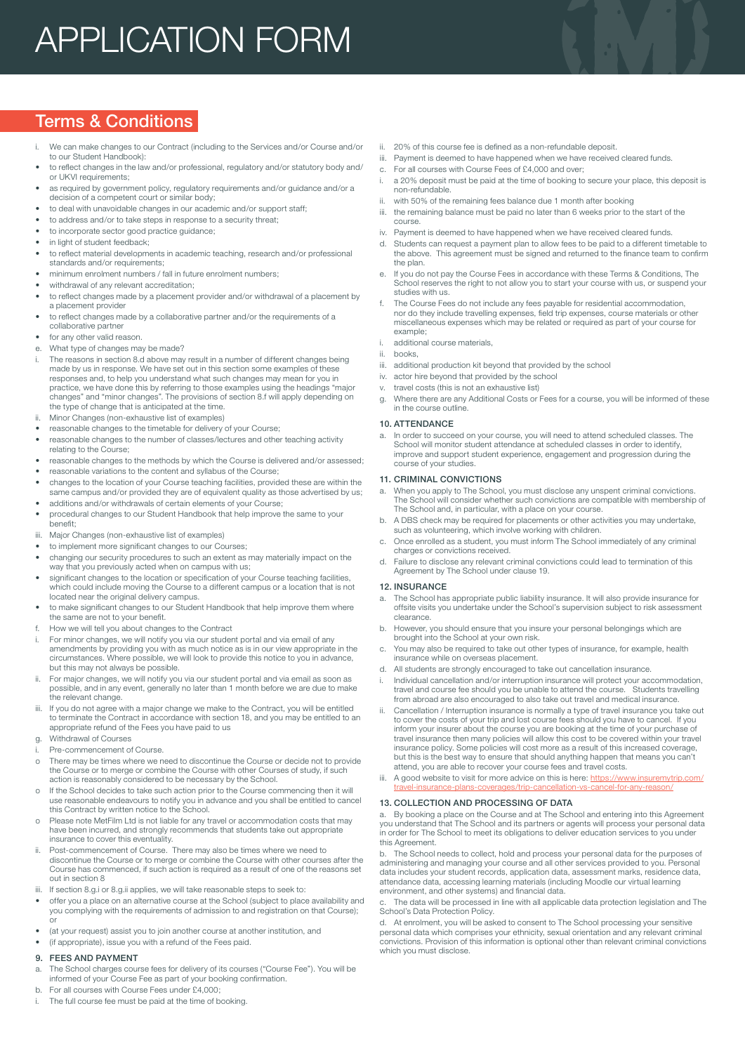## Terms & Conditions

- i. We can make changes to our Contract (including to the Services and/or Course and/or to our Student Handbook):
- to reflect changes in the law and/or professional, regulatory and/or statutory body and/ or UKVI requirements;
- as required by government policy, regulatory requirements and/or guidance and/or a decision of a competent court or similar body;
- to deal with unavoidable changes in our academic and/or support staff;
- to address and/or to take steps in response to a security threat;
- to incorporate sector good practice guidance;
- in light of student feedback;<br>• to reflect material development
- to reflect material developments in academic teaching, research and/or professional standards and/or requirements;
- minimum enrolment numbers / fall in future enrolment numbers;
- withdrawal of any relevant accreditation:
- to reflect changes made by a placement provider and/or withdrawal of a placement by a placement provider
- to reflect changes made by a collaborative partner and/or the requirements of a collaborative partner
- for any other valid reason.
- e. What type of changes may be made?
- i. The reasons in section 8.d above may result in a number of different changes being made by us in response. We have set out in this section some examples of these responses and, to help you understand what such changes may mean for you in practice, we have done this by referring to those examples using the headings "major changes" and "minor changes". The provisions of section 8.f will apply depending on the type of change that is anticipated at the time.
- ii. Minor Changes (non-exhaustive list of examples)
- reasonable changes to the timetable for delivery of your Course;
- reasonable changes to the number of classes/lectures and other teaching activity relating to the Course;
- reasonable changes to the methods by which the Course is delivered and/or assessed;
- reasonable variations to the content and syllabus of the Course;
- changes to the location of your Course teaching facilities, provided these are within the same campus and/or provided they are of equivalent quality as those advertised by us;
- additions and/or withdrawals of certain elements of your Course;
- procedural changes to our Student Handbook that help improve the same to your benefit;
- iii. Major Changes (non-exhaustive list of examples)
- to implement more significant changes to our Courses;
- changing our security procedures to such an extent as may materially impact on the way that you previously acted when on campus with us;
- significant changes to the location or specification of your Course teaching facilities, which could include moving the Course to a different campus or a location that is not located near the original delivery campus.
- to make significant changes to our Student Handbook that help improve them where the same are not to your benefit.
- How we will tell you about changes to the Contract
- For minor changes, we will notify you via our student portal and via email of any amendments by providing you with as much notice as is in our view appropriate in the circumstances. Where possible, we will look to provide this notice to you in advance, but this may not always be possible.
- ii. For major changes, we will notify you via our student portal and via email as soon as possible, and in any event, generally no later than 1 month before we are due to make the relevant change.
- If you do not agree with a major change we make to the Contract, you will be entitled to terminate the Contract in accordance with section 18, and you may be entitled to an appropriate refund of the Fees you have paid to us
- g. Withdrawal of Courses
- Pre-commencement of Course.
- o There may be times where we need to discontinue the Course or decide not to provide the Course or to merge or combine the Course with other Courses of study, if such action is reasonably considered to be necessary by the School.
- o If the School decides to take such action prior to the Course commencing then it will use reasonable endeavours to notify you in advance and you shall be entitled to cancel this Contract by written notice to the School.
- Please note MetFilm Ltd is not liable for any travel or accommodation costs that may have been incurred, and strongly recommends that students take out appropriate insurance to cover this eventuality.
- ii. Post-commencement of Course. There may also be times where we need to discontinue the Course or to merge or combine the Course with other courses after the Course has commenced, if such action is required as a result of one of the reasons set out in section 8
- iii. If section 8.g.i or 8.g.ii applies, we will take reasonable steps to seek to:
- offer you a place on an alternative course at the School (subject to place availability and you complying with the requirements of admission to and registration on that Course);  $\Omega$
- (at your request) assist you to join another course at another institution, and
- (if appropriate), issue you with a refund of the Fees paid.

#### 9. FEES AND PAYMENT

- a. The School charges course fees for delivery of its courses ("Course Fee"). You will be informed of your Course Fee as part of your booking confirmation.
- b. For all courses with Course Fees under £4,000;
- i. The full course fee must be paid at the time of booking.
- ii. 20% of this course fee is defined as a non-refundable deposit.
- iii. Payment is deemed to have happened when we have received cleared funds.
- c. For all courses with Course Fees of £4,000 and over;
- i. a 20% deposit must be paid at the time of booking to secure your place, this deposit is non-refundable.
- ii. with 50% of the remaining fees balance due 1 month after booking
- iii. the remaining balance must be paid no later than 6 weeks prior to the start of the course.
- iv. Payment is deemed to have happened when we have received cleared funds.
- d. Students can request a payment plan to allow fees to be paid to a different timetable to the above. This agreement must be signed and returned to the finance team to confirm the plan.
- e. If you do not pay the Course Fees in accordance with these Terms & Conditions, The School reserves the right to not allow you to start your course with us, or suspend your studies with us.
- f. The Course Fees do not include any fees payable for residential accommodation, nor do they include travelling expenses, field trip expenses, course materials or other miscellaneous expenses which may be related or required as part of your course for example;
- i. additional course materials,
- ii. books,
- iii. additional production kit beyond that provided by the school
- iv. actor hire beyond that provided by the school
- v. travel costs (this is not an exhaustive list)
- g. Where there are any Additional Costs or Fees for a course, you will be informed of these in the course outline.

#### 10. ATTENDANCE

a. In order to succeed on your course, you will need to attend scheduled classes. The School will monitor student attendance at scheduled classes in order to identify improve and support student experience, engagement and progression during the course of your studies.

#### 11. CRIMINAL CONVICTIONS

- a. When you apply to The School, you must disclose any unspent criminal convictions. The School will consider whether such convictions are compatible with membership of The School and, in particular, with a place on your course.
- b. A DBS check may be required for placements or other activities you may undertake, such as volunteering, which involve working with children.
- c. Once enrolled as a student, you must inform The School immediately of any criminal charges or convictions received.
- d. Failure to disclose any relevant criminal convictions could lead to termination of this Agreement by The School under clause 19.

#### 12. INSURANCE

- a. The School has appropriate public liability insurance. It will also provide insurance for offsite visits you undertake under the School's supervision subject to risk assessment clearance.
- b. However, you should ensure that you insure your personal belongings which are brought into the School at your own risk.
- c. You may also be required to take out other types of insurance, for example, health insurance while on overseas placement.
- d. All students are strongly encouraged to take out cancellation insurance.
- i. Individual cancellation and/or interruption insurance will protect your accommodation, travel and course fee should you be unable to attend the course. Students travelling from abroad are also encouraged to also take out travel and medical insurance.
- ii. Cancellation / Interruption insurance is normally a type of travel insurance you take out to cover the costs of your trip and lost course fees should you have to cancel. If you inform your insurer about the course you are booking at the time of your purchase of travel insurance then many policies will allow this cost to be covered within your travel insurance policy. Some policies will cost more as a result of this increased coverage, but this is the best way to ensure that should anything happen that means you can't attend, you are able to recover your course fees and travel costs.
- A good website to visit for more advice on this is here: [https://www.insuremytrip.com/](https://www.insuremytrip.com/travel-insurance-plans-coverages/trip-cancellation-vs-cancel-for-any-reason/ ) -vs-cancel-for-any-reason/

#### 13. COLLECTION AND PROCESSING OF DATA

a. By booking a place on the Course and at The School and entering into this Agreement you understand that The School and its partners or agents will process your personal data in order for The School to meet its obligations to deliver education services to you under this Agreement.

b. The School needs to collect, hold and process your personal data for the purposes of administering and managing your course and all other services provided to you. Personal data includes your student records, application data, assessment marks, residence data, attendance data, accessing learning materials (including Moodle our virtual learning environment, and other systems) and financial data.

The data will be processed in line with all applicable data protection legislation and The School's Data Protection Policy.

d. At enrolment, you will be asked to consent to The School processing your sensitive personal data which comprises your ethnicity, sexual orientation and any relevant criminal convictions. Provision of this information is optional other than relevant criminal convictions which you must disclose